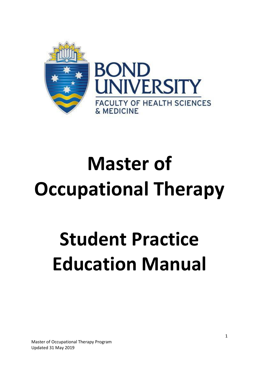

# **Master of Occupational Therapy**

# **Student Practice Education Manual**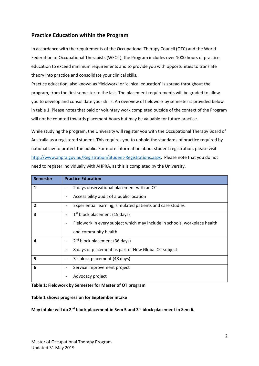# **Practice Education within the Program**

In accordance with the requirements of the Occupational Therapy Council (OTC) and the World Federation of Occupational Therapists (WFOT), the Program includes over 1000 hours of practice education to exceed minimum requirements and to provide you with opportunities to translate theory into practice and consolidate your clinical skills.

Practice education, also known as 'fieldwork' or 'clinical education' is spread throughout the program, from the first semester to the last. The placement requirements will be graded to allow you to develop and consolidate your skills. An overview of fieldwork by semester is provided below in table 1. Please notes that paid or voluntary work completed outside of the context of the Program will not be counted towards placement hours but may be valuable for future practice.

While studying the program, the University will register you with the Occupational Therapy Board of Australia as a registered student. This requires you to uphold the standards of practice required by national law to protect the public. For more information about student registration, please visit [http://www.ahpra.gov.au/Registration/Student-Registrations.aspx.](http://www.ahpra.gov.au/Registration/Student-Registrations.aspx) Please note that you do not need to register individually with AHPRA, as this is completed by the University.

| <b>Semester</b> | <b>Practice Education</b>                                                 |
|-----------------|---------------------------------------------------------------------------|
| 1               | 2 days observational placement with an OT                                 |
|                 | Accessibility audit of a public location<br>$\qquad \qquad \blacksquare$  |
| 2               | Experiential learning, simulated patients and case studies                |
| 3               | $1st$ block placement (15 days)                                           |
|                 | Fieldwork in every subject which may include in schools, workplace health |
|                 | and community health                                                      |
| 4               | 2 <sup>nd</sup> block placement (36 days)                                 |
|                 | 8 days of placement as part of New Global OT subject                      |
| 5               | 3rd block placement (48 days)                                             |
| 6               | Service improvement project                                               |
|                 | Advocacy project                                                          |

#### **Table 1: Fieldwork by Semester for Master of OT program**

#### **Table 1 shows progression for September intake**

#### **May intake will do 2nd block placement in Sem 5 and 3rd block placement in Sem 6.**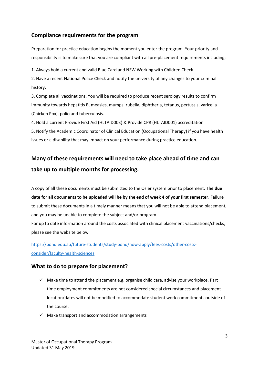# **Compliance requirements for the program**

Preparation for practice education begins the moment you enter the program. Your priority and responsibility is to make sure that you are compliant with all pre-placement requirements including;

1. Always hold a current and valid Blue Card and NSW Working with Children Check

2. Have a recent National Police Check and notify the university of any changes to your criminal history.

3. Complete all vaccinations. You will be required to produce recent serology results to confirm immunity towards hepatitis B, measles, mumps, rubella, diphtheria, tetanus, pertussis, varicella (Chicken Pox), polio and tuberculosis.

4. Hold a current Provide First Aid (HLTAID003) & Provide CPR (HLTAID001) accreditation.

5. Notify the Academic Coordinator of Clinical Education (Occupational Therapy) if you have health issues or a disability that may impact on your performance during practice education.

# **Many of these requirements will need to take place ahead of time and can take up to multiple months for processing.**

A copy of all these documents must be submitted to the Osler system prior to placement. T**he due date for all documents to be uploaded will be by the end of week 4 of your first semester**. Failure to submit these documents in a timely manner means that you will not be able to attend placement, and you may be unable to complete the subject and/or program.

For up to date information around the costs associated with clinical placement vaccinations/checks, please see the website below

[https://bond.edu.au/future-students/study-bond/how-apply/fees-costs/other-costs](https://bond.edu.au/future-students/study-bond/how-apply/fees-costs/other-costs-consider/faculty-health-sciences)[consider/faculty-health-sciences](https://bond.edu.au/future-students/study-bond/how-apply/fees-costs/other-costs-consider/faculty-health-sciences)

# **What to do to prepare for placement?**

- $\checkmark$  Make time to attend the placement e.g. organise child care, advise your workplace. Part time employment commitments are not considered special circumstances and placement location/dates will not be modified to accommodate student work commitments outside of the course.
- $\checkmark$  Make transport and accommodation arrangements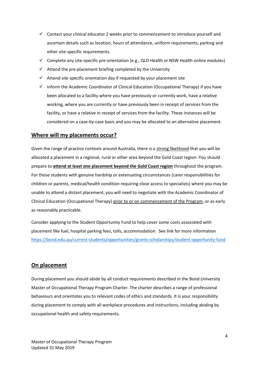- $\checkmark$  Contact your clinical educator 2 weeks prior to commencement to introduce yourself and ascertain details such as location, hours of attendance, uniform requirements, parking and other site-specific requirements.
- $\checkmark$  Complete any site-specific pre-orientation (e.g., QLD Health or NSW Health online modules)
- $\checkmark$  Attend the pre-placement briefing completed by the University
- $\checkmark$  Attend site specific orientation day if requested by your placement site
- $\checkmark$  Inform the Academic Coordinator of Clinical Education (Occupational Therapy) if you have been allocated to a facility where you have previously or currently work, have a relative working, where you are currently or have previously been in receipt of services from the facility, or have a relative in receipt of services from the facility. These instances will be considered on a case-by-case basis and you may be allocated to an alternative placement.

# **Where will my placements occur?**

Given the range of practice contexts around Australia, there is a strong likelihood that you will be allocated a placement in a regional, rural or other area beyond the Gold Coast region. You should prepare to **attend at least one placement beyond the Gold Coast region** throughout the program. For those students with genuine hardship or extenuating circumstances (carer responsibilities for children or parents, medical/health condition requiring close access to specialists) where you may be unable to attend a distant placement, you will need to negotiate with the Academic Coordinator of Clinical Education (Occupational Therapy) prior to or on commencement of the Program, or as early as reasonably practicable.

Consider applying to the Student Opportunity Fund to help cover some costs associated with placement like fuel, hospital parking fees, tolls, accommodation. See link for more information <https://bond.edu.au/current-students/opportunities/grants-scholarships/student-opportunity-fund>

# **On placement**

During placement you should abide by all conduct requirements described in the Bond University Master of Occupational Therapy Program Charter. The charter describes a range of professional behaviours and orientates you to relevant codes of ethics and standards. It is your responsibility during placement to comply with all workplace procedures and instructions, including abiding by occupational health and safety requirements.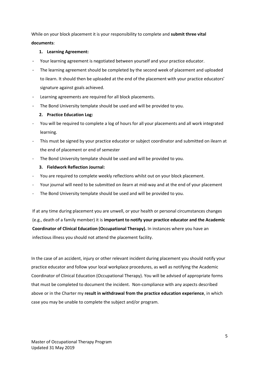While on your block placement it is your responsibility to complete and **submit three vital documents**:

#### **1. Learning Agreement:**

- Your learning agreement is negotiated between yourself and your practice educator.
- The learning agreement should be completed by the second week of placement and uploaded to ilearn. It should then be uploaded at the end of the placement with your practice educators' signature against goals achieved.
- Learning agreements are required for all block placements.
- The Bond University template should be used and will be provided to you.

#### **2. Practice Education Log:**

- You will be required to complete a log of hours for all your placements and all work integrated learning.
- This must be signed by your practice educator or subject coordinator and submitted on ilearn at the end of placement or end of semester
- The Bond University template should be used and will be provided to you.

#### **3. Fieldwork Reflection Journal:**

- You are required to complete weekly reflections whilst out on your block placement.
- Your journal will need to be submitted on ilearn at mid-way and at the end of your placement
- The Bond University template should be used and will be provided to you.

If at any time during placement you are unwell, or your health or personal circumstances changes (e.g., death of a family member) it is **important to notify your practice educator and the Academic Coordinator of Clinical Education (Occupational Therapy).** In instances where you have an infectious illness you should not attend the placement facility.

In the case of an accident, injury or other relevant incident during placement you should notify your practice educator and follow your local workplace procedures, as well as notifying the Academic Coordinator of Clinical Education (Occupational Therapy). You will be advised of appropriate forms that must be completed to document the incident. Non-compliance with any aspects described above or in the Charter my **result in withdrawal from the practice education experience**, in which case you may be unable to complete the subject and/or program.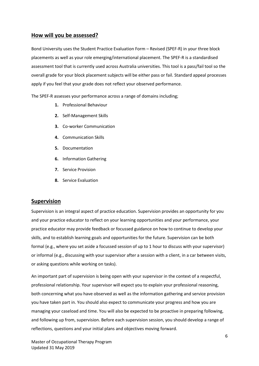### **How will you be assessed?**

Bond University uses the Student Practice Evaluation Form – Revised (SPEF-R) in your three block placements as well as your role emerging/international placement. The SPEF-R is a standardised assessment tool that is currently used across Australia universities. This tool is a pass/fail tool so the overall grade for your block placement subjects will be either pass or fail. Standard appeal processes apply if you feel that your grade does not reflect your observed performance.

The SPEF-R assesses your performance across a range of domains including;

- **1.** Professional Behaviour
- **2.** Self-Management Skills
- **3.** Co-worker Communication
- **4.** Communication Skills
- **5.** Documentation
- **6.** Information Gathering
- **7.** Service Provision
- **8.** Service Evaluation

#### **Supervision**

Supervision is an integral aspect of practice education. Supervision provides an opportunity for you and your practice educator to reflect on your learning opportunities and your performance, your practice educator may provide feedback or focussed guidance on how to continue to develop your skills, and to establish learning goals and opportunities for the future. Supervision can be both formal (e.g., where you set aside a focussed session of up to 1 hour to discuss with your supervisor) or informal (e.g., discussing with your supervisor after a session with a client, in a car between visits, or asking questions while working on tasks).

An important part of supervision is being open with your supervisor in the context of a respectful, professional relationship. Your supervisor will expect you to explain your professional reasoning, both concerning what you have observed as well as the information gathering and service provision you have taken part in. You should also expect to communicate your progress and how you are managing your caseload and time. You will also be expected to be proactive in preparing following, and following up from, supervision. Before each supervision session, you should develop a range of reflections, questions and your initial plans and objectives moving forward.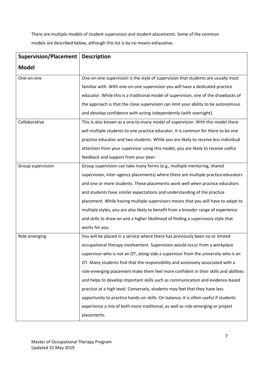There are multiple models of student supervision and student placements. Some of the common models are described below, although this list is by no means exhaustive.

| <b>Supervision/Placement</b> | <b>Description</b>                                                                  |
|------------------------------|-------------------------------------------------------------------------------------|
| <b>Model</b>                 |                                                                                     |
| One-on-one                   | One-on-one supervision is the style of supervision that students are usually most   |
|                              | familiar with. With one-on-one supervision you will have a dedicated practice       |
|                              | educator. While this is a traditional model of supervision, one of the drawbacks of |
|                              | the approach is that the close supervision can limit your ability to be autonomous  |
|                              | and develop confidence with acting independently (with oversight).                  |
| Collaborative                | This is also known as a one-to-many model of supervision. With this model there     |
|                              | will multiple students to one practice educator. It is common for there to be one   |
|                              | practice educator and two students. While you are likely to receive less individual |
|                              | attention from your supervisor using this model, you are likely to receive useful   |
|                              | feedback and support from your peer.                                                |
| Group supervision            | Group supervision can take many forms (e.g., multiple mentoring, shared             |
|                              | supervision, inter-agency placements) where there are multiple practice educators   |
|                              | and one or more students. These placements work well when practice educators        |
|                              | and students have similar expectations and understanding of the practice            |
|                              | placement. While having multiple supervisors means that you will have to adapt to   |
|                              | multiple styles, you are also likely to benefit from a broader range of experience  |
|                              | and skills to draw on and a higher likelihood of finding a supervisory style that   |
|                              | works for you.                                                                      |
| Role emerging                | You will be placed in a service where there has previously been no or limited       |
|                              | occupational therapy involvement. Supervision would occur from a workplace          |
|                              | supervisor who is not an OT, along-side a supervisor from the university who is an  |
|                              | OT. Many students find that the responsibility and autonomy associated with a       |
|                              | role-emerging placement make them feel more confident in their skills and abilities |
|                              | and helps to develop important skills such as communication and evidence-based      |
|                              | practice at a high level. Conversely, students may feel that they have less         |
|                              | opportunity to practice hands-on skills. On balance, it is often useful if students |
|                              | experience a mix of both more traditional, as well as role-emerging or project      |
|                              | placements.                                                                         |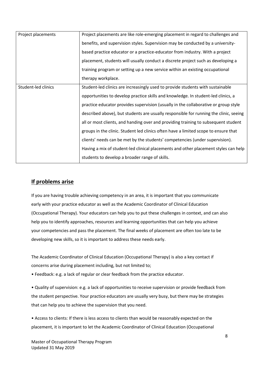| Project placements  | Project placements are like role-emerging placement in regard to challenges and       |
|---------------------|---------------------------------------------------------------------------------------|
|                     | benefits, and supervision styles. Supervision may be conducted by a university-       |
|                     | based practice educator or a practice-educator from industry. With a project          |
|                     | placement, students will usually conduct a discrete project such as developing a      |
|                     | training program or setting up a new service within an existing occupational          |
|                     | therapy workplace.                                                                    |
| Student-led clinics | Student-led clinics are increasingly used to provide students with sustainable        |
|                     | opportunities to develop practice skills and knowledge. In student-led clinics, a     |
|                     | practice educator provides supervision (usually in the collaborative or group style   |
|                     | described above), but students are usually responsible for running the clinic, seeing |
|                     | all or most clients, and handing over and providing training to subsequent student    |
|                     | groups in the clinic. Student led clinics often have a limited scope to ensure that   |
|                     | clients' needs can be met by the students' competencies (under supervision).          |
|                     | Having a mix of student-led clinical placements and other placement styles can help   |
|                     | students to develop a broader range of skills.                                        |

# **If problems arise**

If you are having trouble achieving competency in an area, it is important that you communicate early with your practice educator as well as the Academic Coordinator of Clinical Education (Occupational Therapy). Your educators can help you to put these challenges in context, and can also help you to identify approaches, resources and learning opportunities that can help you achieve your competencies and pass the placement. The final weeks of placement are often too late to be developing new skills, so it is important to address these needs early.

The Academic Coordinator of Clinical Education (Occupational Therapy) is also a key contact if concerns arise during placement including, but not limited to;

• Feedback: e.g. a lack of regular or clear feedback from the practice educator.

• Quality of supervision: e.g. a lack of opportunities to receive supervision or provide feedback from the student perspective. Your practice educators are usually very busy, but there may be strategies that can help you to achieve the supervision that you need.

• Access to clients: If there is less access to clients than would be reasonably expected on the placement, it is important to let the Academic Coordinator of Clinical Education (Occupational